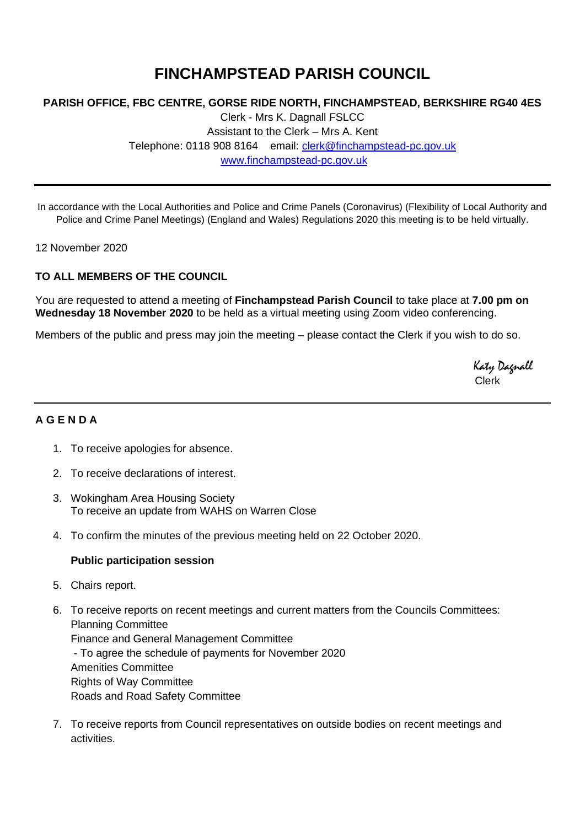# **FINCHAMPSTEAD PARISH COUNCIL**

## **PARISH OFFICE, FBC CENTRE, GORSE RIDE NORTH, FINCHAMPSTEAD, BERKSHIRE RG40 4ES**

Clerk - Mrs K. Dagnall FSLCC Assistant to the Clerk – Mrs A. Kent Telephone: 0118 908 8164 email: [clerk@finchampstead-pc.gov.uk](mailto:clerk@finchampstead-pc.gov.uk) [www.finchampstead-pc.gov.uk](http://www.finchampstead-pc.gov.uk/)

In accordance with the Local Authorities and Police and Crime Panels (Coronavirus) (Flexibility of Local Authority and Police and Crime Panel Meetings) (England and Wales) Regulations 2020 this meeting is to be held virtually.

12 November 2020

### **TO ALL MEMBERS OF THE COUNCIL**

You are requested to attend a meeting of **Finchampstead Parish Council** to take place at **7.00 pm on Wednesday 18 November 2020** to be held as a virtual meeting using Zoom video conferencing.

Members of the public and press may join the meeting – please contact the Clerk if you wish to do so.

 Katy Dagnall Clerk

## **A G E N D A**

- 1. To receive apologies for absence.
- 2. To receive declarations of interest.
- 3. Wokingham Area Housing Society To receive an update from WAHS on Warren Close
- 4. To confirm the minutes of the previous meeting held on 22 October 2020.

#### **Public participation session**

- 5. Chairs report.
- 6. To receive reports on recent meetings and current matters from the Councils Committees: Planning Committee Finance and General Management Committee - To agree the schedule of payments for November 2020 Amenities Committee Rights of Way Committee Roads and Road Safety Committee
- 7. To receive reports from Council representatives on outside bodies on recent meetings and activities.